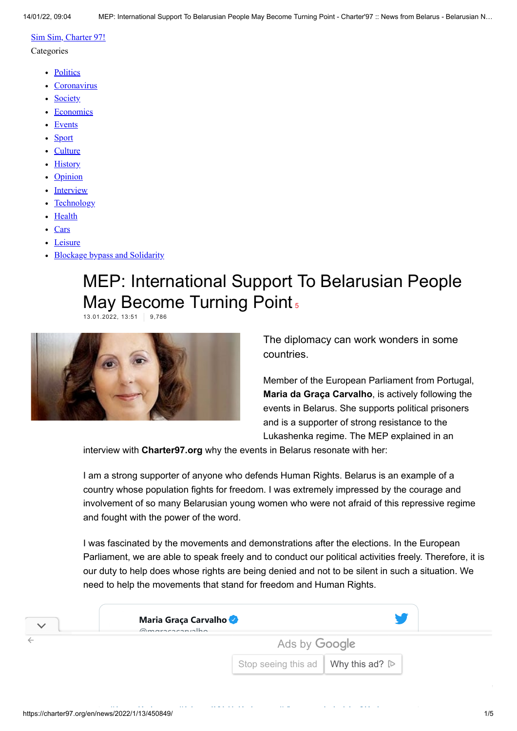### [Sim Sim, Charter 97!](https://charter97.org/en/news/2020/5/4/375249/)

#### **Categories**

- [Politics](https://charter97.org/en/news/politics/)
- [Coronavirus](https://charter97.org/en/news/hottopic/covid-19)
- [Society](https://charter97.org/en/news/society/)
- [Economics](https://charter97.org/en/news/economics/)
- [Events](https://charter97.org/en/news/events/)
- [Sport](https://charter97.org/en/news/sport/)
- [Culture](https://charter97.org/en/news/culture/)
- [History](https://charter97.org/en/news/history/)
- [Opinion](https://charter97.org/en/news/opinion/)
- [Interview](https://charter97.org/en/news/interview/)
- [Technology](https://charter97.org/en/news/hi-tech/)
- [Health](https://charter97.org/en/news/health/)
- [Cars](https://charter97.org/en/news/auto/)
- [Leisure](https://charter97.org/en/news/leisure/)
- [Blockage bypass and Solidarity](https://charter97.org/en/news/hottopic/solidarity)

# MEP: International Support To Belarusian People May Become Turning Point<sub>[5](https://charter97.org/en/news/2022/1/13/450849/comments/#comments)</sub>

13.01.2022, 13:51 9,786



The diplomacy can work wonders in some countries.

Member of the European Parliament from Portugal, **Maria da Graça Carvalho**, is actively following the events in Belarus. She supports political prisoners and is a supporter of strong resistance to the Lukashenka regime. The MEP explained in an

interview with **Charter97.org** why the events in Belarus resonate with her:

I am a strong supporter of anyone who defends Human Rights. Belarus is an example of a country whose population fights for freedom. I was extremely impressed by the courage and involvement of so many Belarusian young women who were not afraid of this repressive regime and fought with the power of the word.

I was fascinated by the movements and demonstrations after the elections. In the European Parliament, we are able to speak freely and to conduct our political activities freely. Therefore, it is our duty to help does whose rights are being denied and not to be silent in such a situation. We need to help the movements that stand for freedom and Human Rights.

| Maria Graça Carvalho<br>Qmaracacanvalho             |  |  |  |  |  |  |
|-----------------------------------------------------|--|--|--|--|--|--|
| Ads by Google                                       |  |  |  |  |  |  |
| Stop seeing this ad   Why this ad? $\triangleright$ |  |  |  |  |  |  |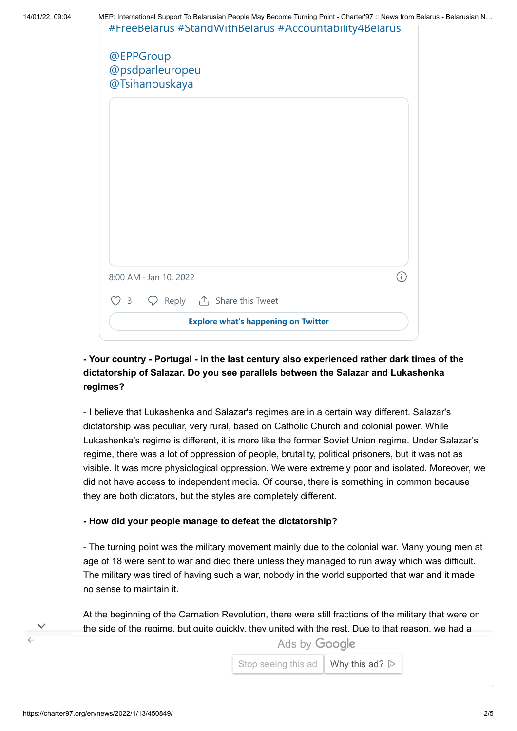| 14/01/22, 09:04 |  |  |  |  |  |  |  |  |  |  | MEP: International Support To Belarusian People May Become Turning Point - Charter'97 :: News from Belarus - Belarusian N |  |
|-----------------|--|--|--|--|--|--|--|--|--|--|---------------------------------------------------------------------------------------------------------------------------|--|
|                 |  |  |  |  |  |  |  |  |  |  |                                                                                                                           |  |



# **- Your country - Portugal - in the last century also experienced rather dark times of the dictatorship of Salazar. Do you see parallels between the Salazar and Lukashenka regimes?**

- I believe that Lukashenka and Salazar's regimes are in a certain way different. Salazar's dictatorship was peculiar, very rural, based on Catholic Church and colonial power. While Lukashenka's regime is different, it is more like the former Soviet Union regime. Under Salazar's regime, there was a lot of oppression of people, brutality, political prisoners, but it was not as visible. It was more physiological oppression. We were extremely poor and isolated. Moreover, we did not have access to independent media. Of course, there is something in common because they are both dictators, but the styles are completely different.

## **- How did your people manage to defeat the dictatorship?**

- The turning point was the military movement mainly due to the colonial war. Many young men at age of 18 were sent to war and died there unless they managed to run away which was difficult. The military was tired of having such a war, nobody in the world supported that war and it made no sense to maintain it.

At the beginning of the Carnation Revolution, there were still fractions of the military that were on the side of the regime, but quite quickly, they united with the rest. Due to that reason, we had a

[peaceful revolution.](https://www.googleadservices.com/pagead/aclk?sa=L&ai=CnOydlzzhYZGTJoKH7_UPvp-Z6AnB4dLEZ7qC54jmCo3T-t-1GBABIIyh6SZg7YTdhaAboAG8me63A8gBCakCgZZsGI0-sz6oAwHIA8sEqgSJAk_QV_dFiUw7oz0Lg3dZ1XRxhTwTSViu_QVCOooECuxjfgcinobwYeNiijLEoRRxJnfEWlZFrBL3i09NrYR9PRPXqxD3BVW1v4QOE5Ta88b6w2IzTcvAJZRb445hSZ3rv4U98VNmIoxm6bItJ3Stg-ccfNNtEFMgSRxNY5dcmBLywjF9F1tYo_NA0kYpSfFv0HXgqcO4jpE0aWafPJoRw5u5MyDCkYKnHLNDBl8kIqBK1FKreHDEMw5NnD-dGo66ZIcmmYL7jGn_aRgw1y006Lj4idQjb-Yd3xvH5OdJzOH0g4feoHY6ffqP2E6QzubCD3fgUtVr_-2pHP4FBDM0EDqZmxaO2vdTm_fABJmMytDEAqAGLoAHrOaRSKgHjs4bqAeT2BuoB-6WsQKoB_6esQKoB9XJG6gHpr4bqAfz0RuoB5bYG6gHqpuxAqgH35-xAtgHANIICQiA4YAQEAEYH7EJg2EFgowluGCACgGYCwHICwGADAG4DAHYEw2IFATQFQGYFgGAFwE&ae=1&num=1&cid=CAASEuRoGIN3kzO5VMQIijvkUW4LRA&sig=AOD64_2-zsA3SClPvSgo8UypmZAfw5dr3A&client=ca-pub-4738140743555043&nb=9&adurl=https://www.murprotec.pt/diagnostico-humedades-3-pasos/diagnostico-humedades-online-paso1%3Fgclid%3DEAIaIQobChMI0brCtvGw9QIVgsO7CB2-TwadEAEYASAAEgIg7fD_BwE) On 25 April 1974, the 25 April 1974, the people was a popular revolution and millions of p

**[Empresa líder europeia em tratamentos de humidade](https://www.googleadservices.com/pagead/aclk?sa=L&ai=CnOydlzzhYZGTJoKH7_UPvp-Z6AnB4dLEZ7qC54jmCo3T-t-1GBABIIyh6SZg7YTdhaAboAG8me63A8gBCakCgZZsGI0-sz6oAwHIA8sEqgSJAk_QV_dFiUw7oz0Lg3dZ1XRxhTwTSViu_QVCOooECuxjfgcinobwYeNiijLEoRRxJnfEWlZFrBL3i09NrYR9PRPXqxD3BVW1v4QOE5Ta88b6w2IzTcvAJZRb445hSZ3rv4U98VNmIoxm6bItJ3Stg-ccfNNtEFMgSRxNY5dcmBLywjF9F1tYo_NA0kYpSfFv0HXgqcO4jpE0aWafPJoRw5u5MyDCkYKnHLNDBl8kIqBK1FKreHDEMw5NnD-dGo66ZIcmmYL7jGn_aRgw1y006Lj4idQjb-Yd3xvH5OdJzOH0g4feoHY6ffqP2E6QzubCD3fgUtVr_-2pHP4FBDM0EDqZmxaO2vdTm_fABJmMytDEAqAGLoAHrOaRSKgHjs4bqAeT2BuoB-6WsQKoB_6esQKoB9XJG6gHpr4bqAfz0RuoB5bYG6gHqpuxAqgH35-xAtgHANIICQiA4YAQEAEYH7EJg2EFgowluGCACgGYCwHICwGADAG4DAHYEw2IFATQFQGYFgGAFwE&ae=1&num=1&cid=CAASEuRoGIN3kzO5VMQIijvkUW4LRA&sig=AOD64_2-zsA3SClPvSgo8UypmZAfw5dr3A&client=ca-pub-4738140743555043&nb=7&adurl=https://www.murprotec.pt/diagnostico-humedades-3-pasos/diagnostico-humedades-online-paso1%3Fgclid%3DEAIaIQobChMI0brCtvGw9QIVgsO7CB2-TwadEAEYASAAEgIg7fD_BwE)**

Stop seeing this ad Why this ad? **Deteroits**  $\frac{1}{\sqrt{2}}$ 

 $\leftarrow$